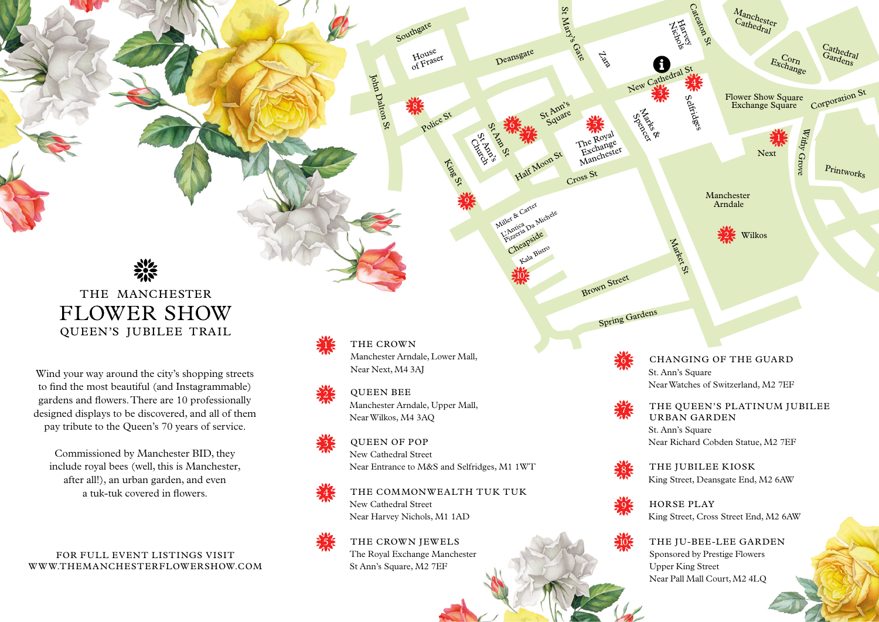St Ann's Church

House of Fraser

King St

Police St

Southgate

Cross St

Cheapside Liller & Car<br>L'Antica Da Michele<br>Phizzeria pside

Deansgate

John Dalton St

St Ann's Square

St Mary's

**Gate** 

Zaz<sup>o</sup>

Half Moon St

Great Northern Square

Miller & Carter

Kala Bistro

Brown Street

## THE MANCHESTER **FLOWER SHOW** QUEEN'S JUBILEE TRAIL

### THE CROWN

Manchester Arndale, Lower Mall, Near Next, M4 3AJ

# QUEEN BEE



Manchester Arndale, Upper Mall, Near Wilkos, M4 3AQ

## QUEEN OF POP New Cathedral Street

Near Entrance to M&S and Selfridges, M1 1WT

## THE COMMONWEALTH TUK TUK New Cathedral Street Near Harvey Nichols, M1 1AD

THE CROWN JEWELS The Royal Exchange Manchester St Ann's Square, M2 7EF

Wind your way around the city's shopping streets to find the most beautiful (and Instagrammable) gardens and flowers. There are 10 professionally designed displays to be discovered, and all of them pay tribute to the Queen's 70 years of service.

Commissioned by Manchester BID, they include royal bees (well, this is Manchester, after all!), an urban garden, and even a tuk-tuk covered in flowers.

10

9

St And Ja

8

6

7

5











#### CHANGING OF THE GUARD

St. Ann's Square Near Watches of Switzerland, M2 7EF

#### THE QUEEN'S PLATINUM JUBILEE URBAN GARDEN

St. Ann's Square Near Richard Cobden Statue, M2 7EF

THE JUBILEE KIOSK King Street, Deansgate End, M2 6AW

HORSE PLAY King Street, Cross Street End, M2 6AW

THE JU-BEE-LEE GARDEN Sponsored by Prestige Flowers Upper King Street Near Pall Mall Court, M2 4LQ

10





8

6

The Royal The Change Manchester

7

FOR FULL EVENT LISTINGS VISIT WWW.THEMANCHESTERFLOWERSHOW.COM